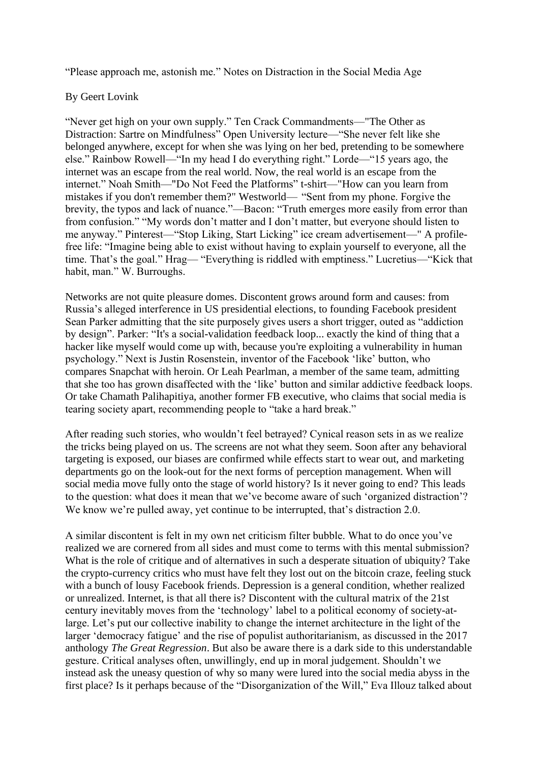"Please approach me, astonish me." Notes on Distraction in the Social Media Age

## By Geert Lovink

"Never get high on your own supply." Ten Crack Commandments—"The Other as Distraction: Sartre on Mindfulness" Open University lecture—"She never felt like she belonged anywhere, except for when she was lying on her bed, pretending to be somewhere else." Rainbow Rowell—"In my head I do everything right." Lorde—"15 years ago, the internet was an escape from the real world. Now, the real world is an escape from the internet." Noah Smith—"Do Not Feed the Platforms" t-shirt—"How can you learn from mistakes if you don't remember them?" Westworld— "Sent from my phone. Forgive the brevity, the typos and lack of nuance."—Bacon: "Truth emerges more easily from error than from confusion." "My words don't matter and I don't matter, but everyone should listen to me anyway." Pinterest—"Stop Liking, Start Licking" ice cream advertisement—" A profilefree life: "Imagine being able to exist without having to explain yourself to everyone, all the time. That's the goal." Hrag— "Everything is riddled with emptiness." Lucretius—"Kick that habit, man." W. Burroughs.

Networks are not quite pleasure domes. Discontent grows around form and causes: from Russia's alleged interference in US presidential elections, to founding Facebook president Sean Parker admitting that the site purposely gives users a short trigger, outed as "addiction by design". Parker: "It's a social-validation feedback loop... exactly the kind of thing that a hacker like myself would come up with, because you're exploiting a vulnerability in human psychology." Next is Justin Rosenstein, inventor of the Facebook 'like' button, who compares Snapchat with heroin. Or Leah Pearlman, a member of the same team, admitting that she too has grown disaffected with the 'like' button and similar addictive feedback loops. Or take Chamath Palihapitiya, another former FB executive, who claims that social media is tearing society apart, recommending people to "take a hard break."

After reading such stories, who wouldn't feel betrayed? Cynical reason sets in as we realize the tricks being played on us. The screens are not what they seem. Soon after any behavioral targeting is exposed, our biases are confirmed while effects start to wear out, and marketing departments go on the look-out for the next forms of perception management. When will social media move fully onto the stage of world history? Is it never going to end? This leads to the question: what does it mean that we've become aware of such 'organized distraction'? We know we're pulled away, yet continue to be interrupted, that's distraction 2.0.

A similar discontent is felt in my own net criticism filter bubble. What to do once you've realized we are cornered from all sides and must come to terms with this mental submission? What is the role of critique and of alternatives in such a desperate situation of ubiquity? Take the crypto-currency critics who must have felt they lost out on the bitcoin craze, feeling stuck with a bunch of lousy Facebook friends. Depression is a general condition, whether realized or unrealized. Internet, is that all there is? Discontent with the cultural matrix of the 21st century inevitably moves from the 'technology' label to a political economy of society-atlarge. Let's put our collective inability to change the internet architecture in the light of the larger 'democracy fatigue' and the rise of populist authoritarianism, as discussed in the 2017 anthology *The Great Regression*. But also be aware there is a dark side to this understandable gesture. Critical analyses often, unwillingly, end up in moral judgement. Shouldn't we instead ask the uneasy question of why so many were lured into the social media abyss in the first place? Is it perhaps because of the "Disorganization of the Will," Eva Illouz talked about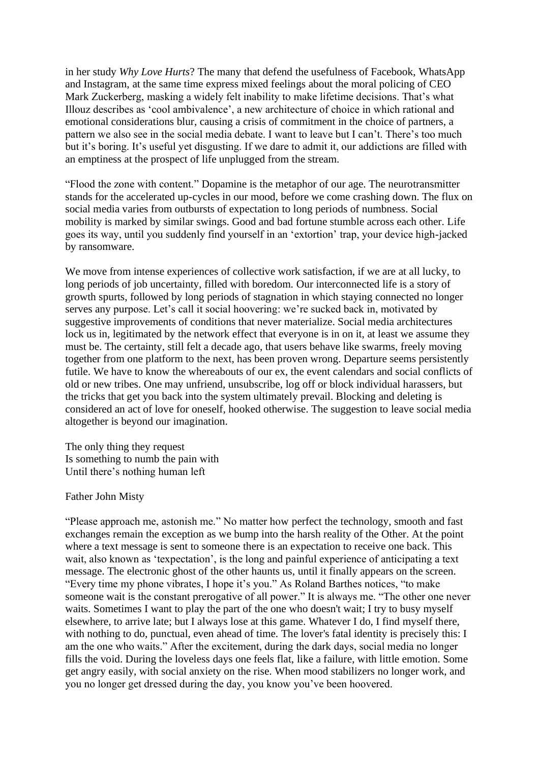in her study *Why Love Hurts*? The many that defend the usefulness of Facebook, WhatsApp and Instagram, at the same time express mixed feelings about the moral policing of CEO Mark Zuckerberg, masking a widely felt inability to make lifetime decisions. That's what Illouz describes as 'cool ambivalence', a new architecture of choice in which rational and emotional considerations blur, causing a crisis of commitment in the choice of partners, a pattern we also see in the social media debate. I want to leave but I can't. There's too much but it's boring. It's useful yet disgusting. If we dare to admit it, our addictions are filled with an emptiness at the prospect of life unplugged from the stream.

"Flood the zone with content." Dopamine is the metaphor of our age. The neurotransmitter stands for the accelerated up-cycles in our mood, before we come crashing down. The flux on social media varies from outbursts of expectation to long periods of numbness. Social mobility is marked by similar swings. Good and bad fortune stumble across each other. Life goes its way, until you suddenly find yourself in an 'extortion' trap, your device high-jacked by ransomware.

We move from intense experiences of collective work satisfaction, if we are at all lucky, to long periods of job uncertainty, filled with boredom. Our interconnected life is a story of growth spurts, followed by long periods of stagnation in which staying connected no longer serves any purpose. Let's call it social hoovering: we're sucked back in, motivated by suggestive improvements of conditions that never materialize. Social media architectures lock us in, legitimated by the network effect that everyone is in on it, at least we assume they must be. The certainty, still felt a decade ago, that users behave like swarms, freely moving together from one platform to the next, has been proven wrong. Departure seems persistently futile. We have to know the whereabouts of our ex, the event calendars and social conflicts of old or new tribes. One may unfriend, unsubscribe, log off or block individual harassers, but the tricks that get you back into the system ultimately prevail. Blocking and deleting is considered an act of love for oneself, hooked otherwise. The suggestion to leave social media altogether is beyond our imagination.

The only thing they request Is something to numb the pain with Until there's nothing human left

Father John Misty

"Please approach me, astonish me." No matter how perfect the technology, smooth and fast exchanges remain the exception as we bump into the harsh reality of the Other. At the point where a text message is sent to someone there is an expectation to receive one back. This wait, also known as 'texpectation', is the long and painful experience of anticipating a text message. The electronic ghost of the other haunts us, until it finally appears on the screen. "Every time my phone vibrates, I hope it's you." As Roland Barthes notices, "to make someone wait is the constant prerogative of all power." It is always me. "The other one never waits. Sometimes I want to play the part of the one who doesn't wait; I try to busy myself elsewhere, to arrive late; but I always lose at this game. Whatever I do, I find myself there, with nothing to do, punctual, even ahead of time. The lover's fatal identity is precisely this: I am the one who waits." After the excitement, during the dark days, social media no longer fills the void. During the loveless days one feels flat, like a failure, with little emotion. Some get angry easily, with social anxiety on the rise. When mood stabilizers no longer work, and you no longer get dressed during the day, you know you've been hoovered.